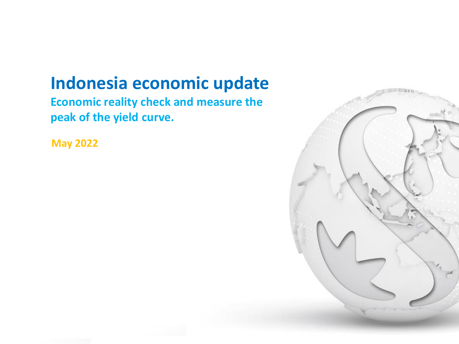# **Indonesia economic update**

**Economic reality check and measure the peak of the yield curve.** 

**May 2022**

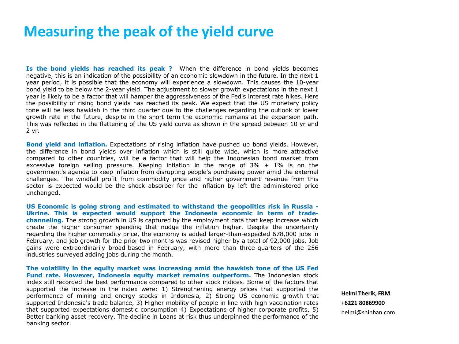## **Measuring the peak of the yield curve**

**Is the bond yields has reached its peak ?** When the difference in bond yields becomes negative, this is an indication of the possibility of an economic slowdown in the future. In the next 1 year period, it is possible that the economy will experience a slowdown. This causes the 10-year bond yield to be below the 2-year yield. The adjustment to slower growth expectations in the next 1 year is likely to be a factor that will hamper the aggressiveness of the Fed's interest rate hikes. Here the possibility of rising bond yields has reached its peak. We expect that the US monetary policy tone will be less hawkish in the third quarter due to the challenges regarding the outlook of lower growth rate in the future, despite in the short term the economic remains at the expansion path. This was reflected in the flattening of the US yield curve as shown in the spread between 10 yr and 2 yr.

**Bond yield and inflation.** Expectations of rising inflation have pushed up bond yields. However, the difference in bond yields over inflation which is still quite wide, which is more attractive compared to other countries, will be a factor that will help the Indonesian bond market from excessive foreign selling pressure. Keeping inflation in the range of  $3\% + 1\%$  is on the government's agenda to keep inflation from disrupting people's purchasing power amid the external challenges. The windfall profit from commodity price and higher government revenue from this sector is expected would be the shock absorber for the inflation by left the administered price unchanged.

**US Economic is going strong and estimated to withstand the geopolitics risk in Russia - Ukrine. This is expected would support the Indonesia economic in term of tradechanneling.** The strong growth in US is captured by the employment data that keep increase which create the higher consumer spending that nudge the inflation higher. Despite the uncertainty regarding the higher commodity price, the economy is added larger-than-expected 678,000 jobs in February, and job growth for the prior two months was revised higher by a total of 92,000 jobs. Job gains were extraordinarily broad-based in February, with more than three-quarters of the 256 industries surveyed adding jobs during the month.

**The volatility in the equity market was increasing amid the hawkish tone of the US Fed Fund rate. However, Indonesia equity market remains outperform.** The Indonesian stock index still recorded the best performance compared to other stock indices. Some of the factors that supported the increase in the index were: 1) Strengthening energy prices that supported the performance of mining and energy stocks in Indonesia, 2) Strong US economic growth that supported Indonesia's trade balance, 3) Higher mobility of people in line with high vaccination rates that supported expectations domestic consumption 4) Expectations of higher corporate profits, 5) Better banking asset recovery. The decline in Loans at risk thus underpinned the performance of the banking sector.

**Helmi Therik, FRM +6221 80869900** helmi@shinhan.com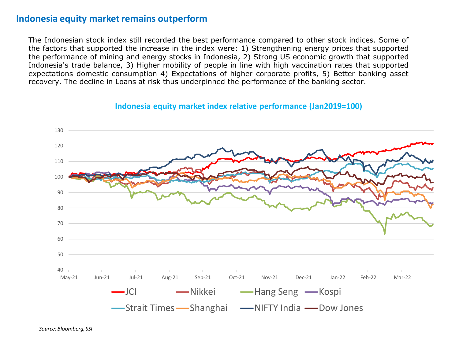#### **Indonesia equity market remains outperform**

The Indonesian stock index still recorded the best performance compared to other stock indices. Some of the factors that supported the increase in the index were: 1) Strengthening energy prices that supported the performance of mining and energy stocks in Indonesia, 2) Strong US economic growth that supported Indonesia's trade balance, 3) Higher mobility of people in line with high vaccination rates that supported expectations domestic consumption 4) Expectations of higher corporate profits, 5) Better banking asset recovery. The decline in Loans at risk thus underpinned the performance of the banking sector.



**Indonesia equity market index relative performance (Jan2019=100)**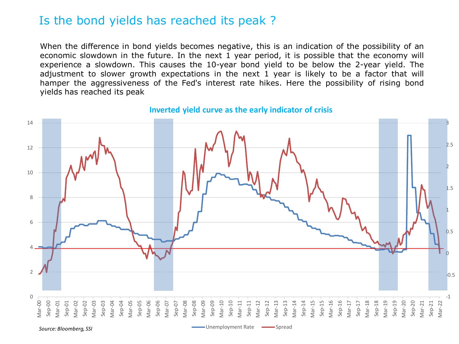## Is the bond yields has reached its peak ?

When the difference in bond yields becomes negative, this is an indication of the possibility of an economic slowdown in the future. In the next 1 year period, it is possible that the economy will experience a slowdown. This causes the 10-year bond yield to be below the 2-year yield. The adjustment to slower growth expectations in the next 1 year is likely to be a factor that will hamper the aggressiveness of the Fed's interest rate hikes. Here the possibility of rising bond yields has reached its peak



#### **Inverted yield curve as the early indicator of crisis**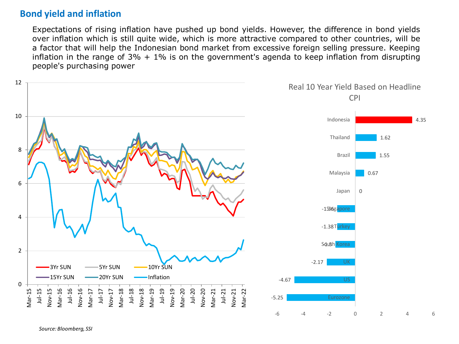#### **Bond yield and inflation**

Expectations of rising inflation have pushed up bond yields. However, the difference in bond yields over inflation which is still quite wide, which is more attractive compared to other countries, will be a factor that will help the Indonesian bond market from excessive foreign selling pressure. Keeping inflation in the range of  $3\% + 1\%$  is on the government's agenda to keep inflation from disrupting people's purchasing power



*Source: Bloomberg, SSI*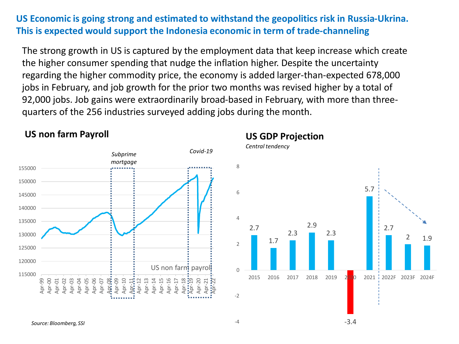## **US Economic is going strong and estimated to withstand the geopolitics risk in Russia-Ukrina. This is expected would support the Indonesia economic in term of trade-channeling**

The strong growth in US is captured by the employment data that keep increase which create the higher consumer spending that nudge the inflation higher. Despite the uncertainty regarding the higher commodity price, the economy is added larger-than-expected 678,000 jobs in February, and job growth for the prior two months was revised higher by a total of 92,000 jobs. Job gains were extraordinarily broad-based in February, with more than threequarters of the 256 industries surveyed adding jobs during the month.



#### **US non farm Payroll**

#### **US GDP Projection**

*Central tendency*

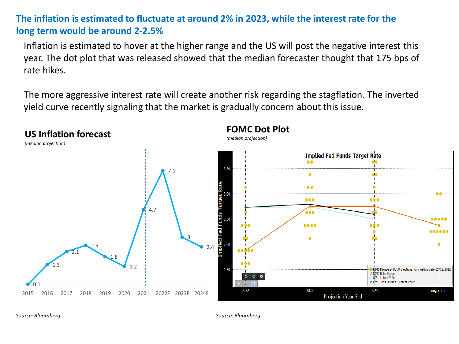## **The inflation is estimated to fluctuate at around 2% in 2023, while the interest rate for the long term would be around 2-2.5%**

Inflation is estimated to hover at the higher range and the US will post the negative interest this year. The dot plot that was released showed that the median forecaster thought that 175 bps of rate hikes.

The more aggressive interest rate will create another risk regarding the stagflation. The inverted yield curve recently signaling that the market is gradually concern about this issue.



*Source: Bloomberg Source: Bloomberg*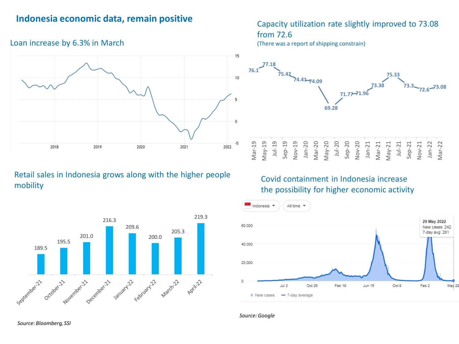#### **Indonesia economic data, remain positive**

#### 15  $10$ 5  $\theta$ -5 2022 2018 2019 2020 2021

Retail sales in Indonesia grows along with the higher people mobility



#### Capacity utilization rate slightly improved to 73.08 from 72.6

(There was a report of shipping constrain)



#### Covid containment in Indonesia increase the possibility for higher economic activity



#### *Source: Google*

Loan increase by 6.3% in March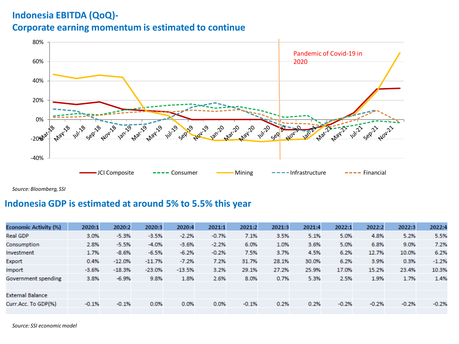### **Indonesia EBITDA (QoQ)-**

#### **Corporate earning momentum is estimated to continue**



*Source: Bloomberg, SSI*

#### **Indonesia GDP is estimated at around 5% to 5.5% this year**

| <b>Economic Activity (%)</b> | 2020:1  | 2020:2   | 2020:3   | 2020:4   | 2021:1  | 2021:2  | 2021:3 | 2021:4 | 2022:1  | 2022:2  | 2022:3  | 2022:4  |
|------------------------------|---------|----------|----------|----------|---------|---------|--------|--------|---------|---------|---------|---------|
| <b>Real GDP</b>              | 3.0%    | $-5.3%$  | $-3.5%$  | $-2.2%$  | $-0.7%$ | 7.1%    | 3.5%   | 5.1%   | 5.0%    | 4.8%    | 5.2%    | 5.5%    |
| Consumption                  | 2.8%    | $-5.5%$  | $-4.0%$  | $-3.6%$  | $-2.2%$ | 6.0%    | 1.0%   | 3.6%   | 5.0%    | 6.8%    | 9.0%    | 7.2%    |
| Investment                   | 1.7%    | $-8.6%$  | $-6.5%$  | $-6.2%$  | $-0.2%$ | 7.5%    | 3.7%   | 4.5%   | 6.2%    | 12.7%   | 10.0%   | 6.2%    |
| Export                       | 0.4%    | $-12.0%$ | $-11.7%$ | $-7.2%$  | 7.2%    | 31.7%   | 28.1%  | 30.0%  | 6.2%    | 3.9%    | 0.3%    | $-1.2%$ |
| Import                       | $-3.6%$ | $-18.3%$ | $-23.0%$ | $-13.5%$ | 3.2%    | 29.1%   | 27.2%  | 25.9%  | 17.0%   | 15.2%   | 23.4%   | 10.3%   |
| Government spending          | 3.8%    | $-6.9%$  | 9.8%     | 1.8%     | 2.6%    | 8.0%    | 0.7%   | 5.3%   | 2.5%    | 1.9%    | 1.7%    | 1.4%    |
|                              |         |          |          |          |         |         |        |        |         |         |         |         |
| <b>External Balance</b>      |         |          |          |          |         |         |        |        |         |         |         |         |
| Curr.Acc. To GDP(%)          | $-0.1%$ | $-0.1%$  | 0.0%     | 0.0%     | 0.0%    | $-0.1%$ | 0.2%   | 0.2%   | $-0.2%$ | $-0.2%$ | $-0.2%$ | $-0.2%$ |
|                              |         |          |          |          |         |         |        |        |         |         |         |         |